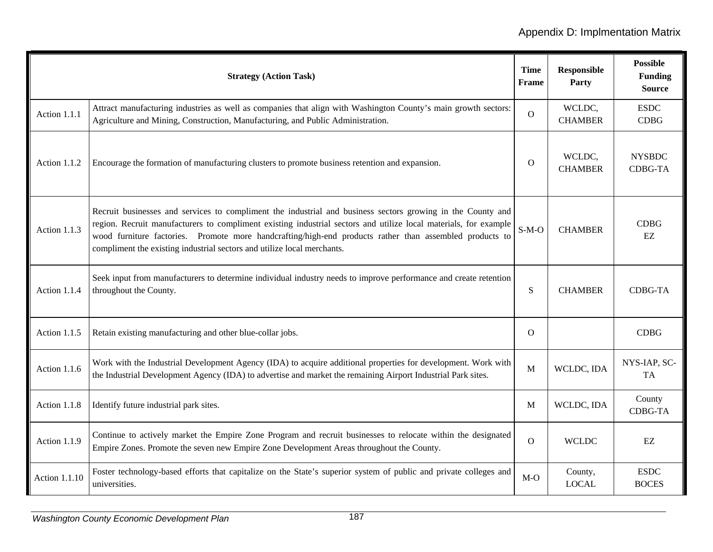|                      | <b>Strategy (Action Task)</b>                                                                                                                                                                                                                                                                                                                                                                                         | <b>Time</b><br><b>Frame</b> | <b>Responsible</b><br>Party | <b>Possible</b><br><b>Funding</b><br><b>Source</b> |
|----------------------|-----------------------------------------------------------------------------------------------------------------------------------------------------------------------------------------------------------------------------------------------------------------------------------------------------------------------------------------------------------------------------------------------------------------------|-----------------------------|-----------------------------|----------------------------------------------------|
| Action 1.1.1         | Attract manufacturing industries as well as companies that align with Washington County's main growth sectors:<br>Agriculture and Mining, Construction, Manufacturing, and Public Administration.                                                                                                                                                                                                                     | $\overline{O}$              | WCLDC,<br><b>CHAMBER</b>    | <b>ESDC</b><br><b>CDBG</b>                         |
| Action 1.1.2         | Encourage the formation of manufacturing clusters to promote business retention and expansion.                                                                                                                                                                                                                                                                                                                        | $\Omega$                    | WCLDC,<br><b>CHAMBER</b>    | <b>NYSBDC</b><br><b>CDBG-TA</b>                    |
| Action 1.1.3         | Recruit businesses and services to compliment the industrial and business sectors growing in the County and<br>region. Recruit manufacturers to compliment existing industrial sectors and utilize local materials, for example<br>wood furniture factories. Promote more handcrafting/high-end products rather than assembled products to<br>compliment the existing industrial sectors and utilize local merchants. | $S-M-O$                     | <b>CHAMBER</b>              | <b>CDBG</b><br>EZ                                  |
| Action 1.1.4         | Seek input from manufacturers to determine individual industry needs to improve performance and create retention<br>throughout the County.                                                                                                                                                                                                                                                                            | S                           | <b>CHAMBER</b>              | <b>CDBG-TA</b>                                     |
| Action 1.1.5         | Retain existing manufacturing and other blue-collar jobs.                                                                                                                                                                                                                                                                                                                                                             | $\mathbf{O}$                |                             | CDBG                                               |
| Action 1.1.6         | Work with the Industrial Development Agency (IDA) to acquire additional properties for development. Work with<br>the Industrial Development Agency (IDA) to advertise and market the remaining Airport Industrial Park sites.                                                                                                                                                                                         | M                           | WCLDC, IDA                  | NYS-IAP, SC-<br>TA                                 |
| Action 1.1.8         | Identify future industrial park sites.                                                                                                                                                                                                                                                                                                                                                                                | M                           | WCLDC, IDA                  | County<br><b>CDBG-TA</b>                           |
| Action 1.1.9         | Continue to actively market the Empire Zone Program and recruit businesses to relocate within the designated<br>Empire Zones. Promote the seven new Empire Zone Development Areas throughout the County.                                                                                                                                                                                                              | $\overline{O}$              | <b>WCLDC</b>                | $\mathbf{EZ}$                                      |
| <b>Action 1.1.10</b> | Foster technology-based efforts that capitalize on the State's superior system of public and private colleges and<br>universities.                                                                                                                                                                                                                                                                                    | $M-O$                       | County,<br><b>LOCAL</b>     | <b>ESDC</b><br><b>BOCES</b>                        |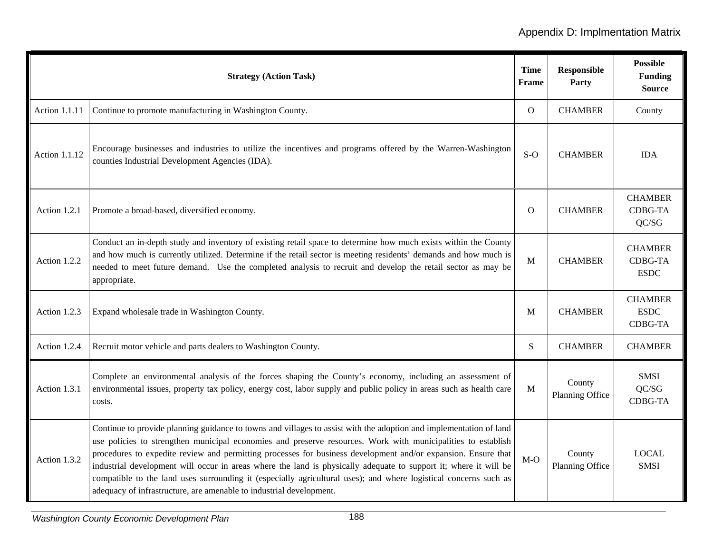|                      | <b>Strategy (Action Task)</b>                                                                                                                                                                                                                                                                                                                                                                                                                                                                                                                                                                                                                                      | <b>Time</b><br><b>Frame</b> | <b>Responsible</b><br>Party | <b>Possible</b><br><b>Funding</b><br><b>Source</b> |
|----------------------|--------------------------------------------------------------------------------------------------------------------------------------------------------------------------------------------------------------------------------------------------------------------------------------------------------------------------------------------------------------------------------------------------------------------------------------------------------------------------------------------------------------------------------------------------------------------------------------------------------------------------------------------------------------------|-----------------------------|-----------------------------|----------------------------------------------------|
| <b>Action 1.1.11</b> | Continue to promote manufacturing in Washington County.                                                                                                                                                                                                                                                                                                                                                                                                                                                                                                                                                                                                            | O                           | <b>CHAMBER</b>              | County                                             |
| <b>Action 1.1.12</b> | Encourage businesses and industries to utilize the incentives and programs offered by the Warren-Washington<br>counties Industrial Development Agencies (IDA).                                                                                                                                                                                                                                                                                                                                                                                                                                                                                                     | $S-O$                       | <b>CHAMBER</b>              | <b>IDA</b>                                         |
| Action 1.2.1         | Promote a broad-based, diversified economy.                                                                                                                                                                                                                                                                                                                                                                                                                                                                                                                                                                                                                        | O                           | <b>CHAMBER</b>              | <b>CHAMBER</b><br><b>CDBG-TA</b><br>QC/SG          |
| Action 1.2.2         | Conduct an in-depth study and inventory of existing retail space to determine how much exists within the County<br>and how much is currently utilized. Determine if the retail sector is meeting residents' demands and how much is<br>needed to meet future demand. Use the completed analysis to recruit and develop the retail sector as may be<br>appropriate.                                                                                                                                                                                                                                                                                                 | M                           | <b>CHAMBER</b>              | <b>CHAMBER</b><br><b>CDBG-TA</b><br><b>ESDC</b>    |
| Action 1.2.3         | Expand wholesale trade in Washington County.                                                                                                                                                                                                                                                                                                                                                                                                                                                                                                                                                                                                                       | M                           | <b>CHAMBER</b>              | <b>CHAMBER</b><br><b>ESDC</b><br>CDBG-TA           |
| Action 1.2.4         | Recruit motor vehicle and parts dealers to Washington County.                                                                                                                                                                                                                                                                                                                                                                                                                                                                                                                                                                                                      | S                           | <b>CHAMBER</b>              | <b>CHAMBER</b>                                     |
| Action 1.3.1         | Complete an environmental analysis of the forces shaping the County's economy, including an assessment of<br>environmental issues, property tax policy, energy cost, labor supply and public policy in areas such as health care<br>costs.                                                                                                                                                                                                                                                                                                                                                                                                                         | M                           | County<br>Planning Office   | <b>SMSI</b><br>QC/SG<br><b>CDBG-TA</b>             |
| Action 1.3.2         | Continue to provide planning guidance to towns and villages to assist with the adoption and implementation of land<br>use policies to strengthen municipal economies and preserve resources. Work with municipalities to establish<br>procedures to expedite review and permitting processes for business development and/or expansion. Ensure that<br>industrial development will occur in areas where the land is physically adequate to support it; where it will be<br>compatible to the land uses surrounding it (especially agricultural uses); and where logistical concerns such as<br>adequacy of infrastructure, are amenable to industrial development. | $M-O$                       | County<br>Planning Office   | <b>LOCAL</b><br><b>SMSI</b>                        |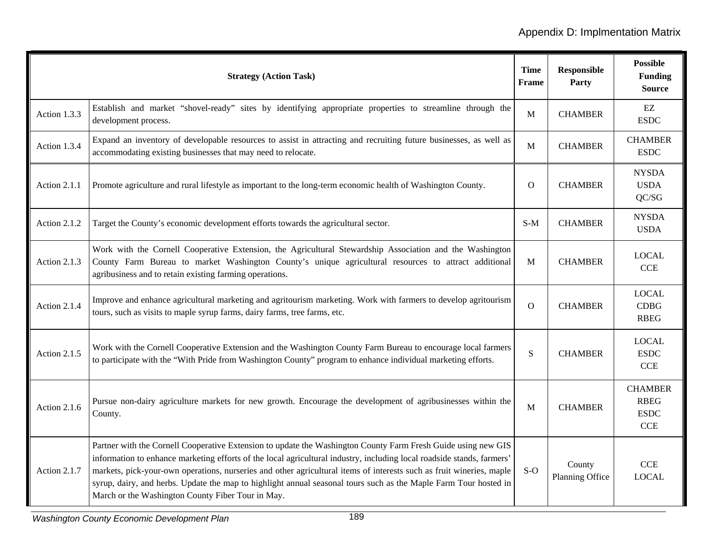|              | <b>Strategy (Action Task)</b>                                                                                                                                                                                                                                                                                                                                                                                                                                                                                                            | Time<br>Frame | <b>Responsible</b><br>Party | <b>Possible</b><br><b>Funding</b><br><b>Source</b>         |
|--------------|------------------------------------------------------------------------------------------------------------------------------------------------------------------------------------------------------------------------------------------------------------------------------------------------------------------------------------------------------------------------------------------------------------------------------------------------------------------------------------------------------------------------------------------|---------------|-----------------------------|------------------------------------------------------------|
| Action 1.3.3 | Establish and market "shovel-ready" sites by identifying appropriate properties to streamline through the<br>development process.                                                                                                                                                                                                                                                                                                                                                                                                        | M             | <b>CHAMBER</b>              | $\mathbf{EZ}$<br><b>ESDC</b>                               |
| Action 1.3.4 | Expand an inventory of developable resources to assist in attracting and recruiting future businesses, as well as<br>accommodating existing businesses that may need to relocate.                                                                                                                                                                                                                                                                                                                                                        | $\mathbf M$   | <b>CHAMBER</b>              | <b>CHAMBER</b><br><b>ESDC</b>                              |
| Action 2.1.1 | Promote agriculture and rural lifestyle as important to the long-term economic health of Washington County.                                                                                                                                                                                                                                                                                                                                                                                                                              | $\mathbf{O}$  | <b>CHAMBER</b>              | <b>NYSDA</b><br><b>USDA</b><br>QC/SG                       |
| Action 2.1.2 | Target the County's economic development efforts towards the agricultural sector.                                                                                                                                                                                                                                                                                                                                                                                                                                                        | $S-M$         | <b>CHAMBER</b>              | <b>NYSDA</b><br><b>USDA</b>                                |
| Action 2.1.3 | Work with the Cornell Cooperative Extension, the Agricultural Stewardship Association and the Washington<br>County Farm Bureau to market Washington County's unique agricultural resources to attract additional<br>agribusiness and to retain existing farming operations.                                                                                                                                                                                                                                                              | $\mathbf{M}$  | <b>CHAMBER</b>              | <b>LOCAL</b><br><b>CCE</b>                                 |
| Action 2.1.4 | Improve and enhance agricultural marketing and agritourism marketing. Work with farmers to develop agritourism<br>tours, such as visits to maple syrup farms, dairy farms, tree farms, etc.                                                                                                                                                                                                                                                                                                                                              | $\mathbf O$   | <b>CHAMBER</b>              | <b>LOCAL</b><br><b>CDBG</b><br><b>RBEG</b>                 |
| Action 2.1.5 | Work with the Cornell Cooperative Extension and the Washington County Farm Bureau to encourage local farmers<br>to participate with the "With Pride from Washington County" program to enhance individual marketing efforts.                                                                                                                                                                                                                                                                                                             | S             | <b>CHAMBER</b>              | <b>LOCAL</b><br><b>ESDC</b><br><b>CCE</b>                  |
| Action 2.1.6 | Pursue non-dairy agriculture markets for new growth. Encourage the development of agribusinesses within the<br>County.                                                                                                                                                                                                                                                                                                                                                                                                                   | M             | <b>CHAMBER</b>              | <b>CHAMBER</b><br><b>RBEG</b><br><b>ESDC</b><br><b>CCE</b> |
| Action 2.1.7 | Partner with the Cornell Cooperative Extension to update the Washington County Farm Fresh Guide using new GIS<br>information to enhance marketing efforts of the local agricultural industry, including local roadside stands, farmers'<br>markets, pick-your-own operations, nurseries and other agricultural items of interests such as fruit wineries, maple<br>syrup, dairy, and herbs. Update the map to highlight annual seasonal tours such as the Maple Farm Tour hosted in<br>March or the Washington County Fiber Tour in May. | $S-O$         | County<br>Planning Office   | CCE<br><b>LOCAL</b>                                        |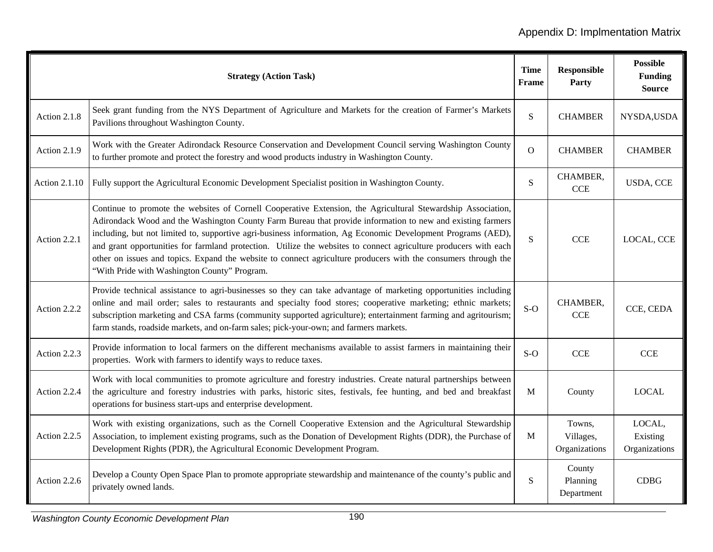|                      | <b>Strategy (Action Task)</b>                                                                                                                                                                                                                                                                                                                                                                                                                                                                                                                                                                                                    | <b>Time</b><br><b>Frame</b> | <b>Responsible</b><br>Party          | <b>Possible</b><br><b>Funding</b><br><b>Source</b> |
|----------------------|----------------------------------------------------------------------------------------------------------------------------------------------------------------------------------------------------------------------------------------------------------------------------------------------------------------------------------------------------------------------------------------------------------------------------------------------------------------------------------------------------------------------------------------------------------------------------------------------------------------------------------|-----------------------------|--------------------------------------|----------------------------------------------------|
| Action 2.1.8         | Seek grant funding from the NYS Department of Agriculture and Markets for the creation of Farmer's Markets<br>Pavilions throughout Washington County.                                                                                                                                                                                                                                                                                                                                                                                                                                                                            | S                           | <b>CHAMBER</b>                       | NYSDA,USDA                                         |
| Action 2.1.9         | Work with the Greater Adirondack Resource Conservation and Development Council serving Washington County<br>to further promote and protect the forestry and wood products industry in Washington County.                                                                                                                                                                                                                                                                                                                                                                                                                         | $\overline{O}$              | <b>CHAMBER</b>                       | <b>CHAMBER</b>                                     |
| <b>Action 2.1.10</b> | Fully support the Agricultural Economic Development Specialist position in Washington County.                                                                                                                                                                                                                                                                                                                                                                                                                                                                                                                                    | S                           | CHAMBER,<br><b>CCE</b>               | <b>USDA, CCE</b>                                   |
| Action 2.2.1         | Continue to promote the websites of Cornell Cooperative Extension, the Agricultural Stewardship Association,<br>Adirondack Wood and the Washington County Farm Bureau that provide information to new and existing farmers<br>including, but not limited to, supportive agri-business information, Ag Economic Development Programs (AED),<br>and grant opportunities for farmland protection. Utilize the websites to connect agriculture producers with each<br>other on issues and topics. Expand the website to connect agriculture producers with the consumers through the<br>"With Pride with Washington County" Program. | S                           | <b>CCE</b>                           | LOCAL, CCE                                         |
| Action 2.2.2         | Provide technical assistance to agri-businesses so they can take advantage of marketing opportunities including<br>online and mail order; sales to restaurants and specialty food stores; cooperative marketing; ethnic markets;<br>subscription marketing and CSA farms (community supported agriculture); entertainment farming and agritourism;<br>farm stands, roadside markets, and on-farm sales; pick-your-own; and farmers markets.                                                                                                                                                                                      | $S-O$                       | CHAMBER,<br><b>CCE</b>               | CCE, CEDA                                          |
| Action 2.2.3         | Provide information to local farmers on the different mechanisms available to assist farmers in maintaining their<br>properties. Work with farmers to identify ways to reduce taxes.                                                                                                                                                                                                                                                                                                                                                                                                                                             | $S-O$                       | <b>CCE</b>                           | <b>CCE</b>                                         |
| Action 2.2.4         | Work with local communities to promote agriculture and forestry industries. Create natural partnerships between<br>the agriculture and forestry industries with parks, historic sites, festivals, fee hunting, and bed and breakfast<br>operations for business start-ups and enterprise development.                                                                                                                                                                                                                                                                                                                            | M                           | County                               | <b>LOCAL</b>                                       |
| Action 2.2.5         | Work with existing organizations, such as the Cornell Cooperative Extension and the Agricultural Stewardship<br>Association, to implement existing programs, such as the Donation of Development Rights (DDR), the Purchase of<br>Development Rights (PDR), the Agricultural Economic Development Program.                                                                                                                                                                                                                                                                                                                       | M                           | Towns,<br>Villages,<br>Organizations | LOCAL,<br>Existing<br>Organizations                |
| Action 2.2.6         | Develop a County Open Space Plan to promote appropriate stewardship and maintenance of the county's public and<br>privately owned lands.                                                                                                                                                                                                                                                                                                                                                                                                                                                                                         | S                           | County<br>Planning<br>Department     | <b>CDBG</b>                                        |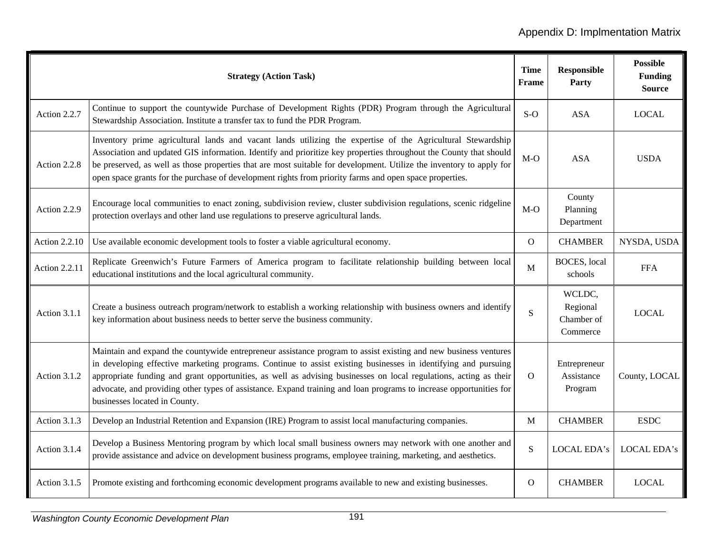|                      | <b>Strategy (Action Task)</b>                                                                                                                                                                                                                                                                                                                                                                                                                                                                                 | <b>Time</b><br>Frame | <b>Responsible</b><br>Party                  | <b>Possible</b><br><b>Funding</b><br><b>Source</b> |
|----------------------|---------------------------------------------------------------------------------------------------------------------------------------------------------------------------------------------------------------------------------------------------------------------------------------------------------------------------------------------------------------------------------------------------------------------------------------------------------------------------------------------------------------|----------------------|----------------------------------------------|----------------------------------------------------|
| Action 2.2.7         | Continue to support the countywide Purchase of Development Rights (PDR) Program through the Agricultural<br>Stewardship Association. Institute a transfer tax to fund the PDR Program.                                                                                                                                                                                                                                                                                                                        | $S-O$                | <b>ASA</b>                                   | <b>LOCAL</b>                                       |
| Action 2.2.8         | Inventory prime agricultural lands and vacant lands utilizing the expertise of the Agricultural Stewardship<br>Association and updated GIS information. Identify and prioritize key properties throughout the County that should<br>be preserved, as well as those properties that are most suitable for development. Utilize the inventory to apply for<br>open space grants for the purchase of development rights from priority farms and open space properties.                                           | $M-O$                | <b>ASA</b>                                   | <b>USDA</b>                                        |
| Action 2.2.9         | Encourage local communities to enact zoning, subdivision review, cluster subdivision regulations, scenic ridgeline<br>protection overlays and other land use regulations to preserve agricultural lands.                                                                                                                                                                                                                                                                                                      | $M-O$                | County<br>Planning<br>Department             |                                                    |
| <b>Action 2.2.10</b> | Use available economic development tools to foster a viable agricultural economy.                                                                                                                                                                                                                                                                                                                                                                                                                             | $\overline{O}$       | <b>CHAMBER</b>                               | NYSDA, USDA                                        |
| <b>Action 2.2.11</b> | Replicate Greenwich's Future Farmers of America program to facilitate relationship building between local<br>educational institutions and the local agricultural community.                                                                                                                                                                                                                                                                                                                                   | $\mathbf{M}$         | <b>BOCES</b> , local<br>schools              | <b>FFA</b>                                         |
| Action 3.1.1         | Create a business outreach program/network to establish a working relationship with business owners and identify<br>key information about business needs to better serve the business community.                                                                                                                                                                                                                                                                                                              | S                    | WCLDC,<br>Regional<br>Chamber of<br>Commerce | <b>LOCAL</b>                                       |
| Action 3.1.2         | Maintain and expand the countywide entrepreneur assistance program to assist existing and new business ventures<br>in developing effective marketing programs. Continue to assist existing businesses in identifying and pursuing<br>appropriate funding and grant opportunities, as well as advising businesses on local regulations, acting as their<br>advocate, and providing other types of assistance. Expand training and loan programs to increase opportunities for<br>businesses located in County. | $\Omega$             | Entrepreneur<br>Assistance<br>Program        | County, LOCAL                                      |
| Action 3.1.3         | Develop an Industrial Retention and Expansion (IRE) Program to assist local manufacturing companies.                                                                                                                                                                                                                                                                                                                                                                                                          | $\mathbf{M}$         | <b>CHAMBER</b>                               | <b>ESDC</b>                                        |
| Action 3.1.4         | Develop a Business Mentoring program by which local small business owners may network with one another and<br>provide assistance and advice on development business programs, employee training, marketing, and aesthetics.                                                                                                                                                                                                                                                                                   | S                    | LOCAL EDA's                                  | LOCAL EDA's                                        |
| Action 3.1.5         | Promote existing and forthcoming economic development programs available to new and existing businesses.                                                                                                                                                                                                                                                                                                                                                                                                      | $\mathbf{O}$         | <b>CHAMBER</b>                               | <b>LOCAL</b>                                       |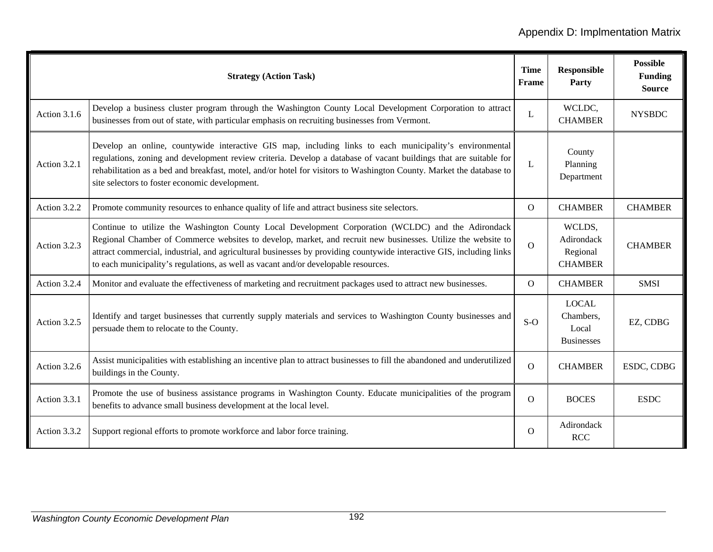|              | <b>Strategy (Action Task)</b>                                                                                                                                                                                                                                                                                                                                                                                                     | <b>Time</b><br>Frame | <b>Responsible</b><br>Party                             | <b>Possible</b><br><b>Funding</b><br><b>Source</b> |
|--------------|-----------------------------------------------------------------------------------------------------------------------------------------------------------------------------------------------------------------------------------------------------------------------------------------------------------------------------------------------------------------------------------------------------------------------------------|----------------------|---------------------------------------------------------|----------------------------------------------------|
| Action 3.1.6 | Develop a business cluster program through the Washington County Local Development Corporation to attract<br>businesses from out of state, with particular emphasis on recruiting businesses from Vermont.                                                                                                                                                                                                                        | L                    | WCLDC,<br><b>CHAMBER</b>                                | <b>NYSBDC</b>                                      |
| Action 3.2.1 | Develop an online, countywide interactive GIS map, including links to each municipality's environmental<br>regulations, zoning and development review criteria. Develop a database of vacant buildings that are suitable for<br>rehabilitation as a bed and breakfast, motel, and/or hotel for visitors to Washington County. Market the database to<br>site selectors to foster economic development.                            | L                    | County<br>Planning<br>Department                        |                                                    |
| Action 3.2.2 | Promote community resources to enhance quality of life and attract business site selectors.                                                                                                                                                                                                                                                                                                                                       | $\Omega$             | <b>CHAMBER</b>                                          | <b>CHAMBER</b>                                     |
| Action 3.2.3 | Continue to utilize the Washington County Local Development Corporation (WCLDC) and the Adirondack<br>Regional Chamber of Commerce websites to develop, market, and recruit new businesses. Utilize the website to<br>attract commercial, industrial, and agricultural businesses by providing countywide interactive GIS, including links<br>to each municipality's regulations, as well as vacant and/or developable resources. | $\overline{O}$       | WCLDS,<br>Adirondack<br>Regional<br><b>CHAMBER</b>      | <b>CHAMBER</b>                                     |
| Action 3.2.4 | Monitor and evaluate the effectiveness of marketing and recruitment packages used to attract new businesses.                                                                                                                                                                                                                                                                                                                      | $\Omega$             | <b>CHAMBER</b>                                          | <b>SMSI</b>                                        |
| Action 3.2.5 | Identify and target businesses that currently supply materials and services to Washington County businesses and<br>persuade them to relocate to the County.                                                                                                                                                                                                                                                                       | $S-O$                | <b>LOCAL</b><br>Chambers,<br>Local<br><b>Businesses</b> | EZ, CDBG                                           |
| Action 3.2.6 | Assist municipalities with establishing an incentive plan to attract businesses to fill the abandoned and underutilized<br>buildings in the County.                                                                                                                                                                                                                                                                               | $\overline{O}$       | <b>CHAMBER</b>                                          | ESDC, CDBG                                         |
| Action 3.3.1 | Promote the use of business assistance programs in Washington County. Educate municipalities of the program<br>benefits to advance small business development at the local level.                                                                                                                                                                                                                                                 | $\overline{O}$       | <b>BOCES</b>                                            | <b>ESDC</b>                                        |
| Action 3.3.2 | Support regional efforts to promote workforce and labor force training.                                                                                                                                                                                                                                                                                                                                                           | $\Omega$             | Adirondack<br><b>RCC</b>                                |                                                    |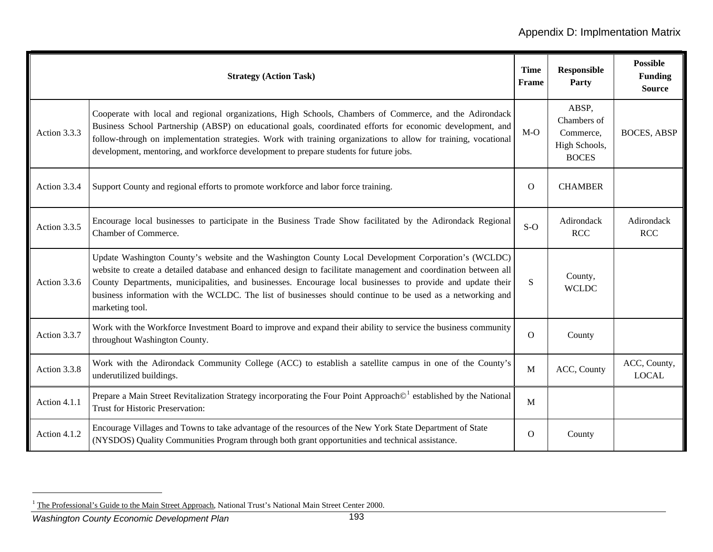|              | <b>Strategy (Action Task)</b>                                                                                                                                                                                                                                                                                                                                                                                                                                          | <b>Time</b><br>Frame | <b>Responsible</b><br>Party                                        | <b>Possible</b><br><b>Funding</b><br><b>Source</b> |
|--------------|------------------------------------------------------------------------------------------------------------------------------------------------------------------------------------------------------------------------------------------------------------------------------------------------------------------------------------------------------------------------------------------------------------------------------------------------------------------------|----------------------|--------------------------------------------------------------------|----------------------------------------------------|
| Action 3.3.3 | Cooperate with local and regional organizations, High Schools, Chambers of Commerce, and the Adirondack<br>Business School Partnership (ABSP) on educational goals, coordinated efforts for economic development, and<br>follow-through on implementation strategies. Work with training organizations to allow for training, vocational<br>development, mentoring, and workforce development to prepare students for future jobs.                                     | $M-O$                | ABSP,<br>Chambers of<br>Commerce,<br>High Schools,<br><b>BOCES</b> | <b>BOCES, ABSP</b>                                 |
| Action 3.3.4 | Support County and regional efforts to promote workforce and labor force training.                                                                                                                                                                                                                                                                                                                                                                                     | $\Omega$             | <b>CHAMBER</b>                                                     |                                                    |
| Action 3.3.5 | Encourage local businesses to participate in the Business Trade Show facilitated by the Adirondack Regional<br>Chamber of Commerce.                                                                                                                                                                                                                                                                                                                                    | $S-O$                | Adirondack<br><b>RCC</b>                                           | Adirondack<br><b>RCC</b>                           |
| Action 3.3.6 | Update Washington County's website and the Washington County Local Development Corporation's (WCLDC)<br>website to create a detailed database and enhanced design to facilitate management and coordination between all<br>County Departments, municipalities, and businesses. Encourage local businesses to provide and update their<br>business information with the WCLDC. The list of businesses should continue to be used as a networking and<br>marketing tool. | S                    | County,<br><b>WCLDC</b>                                            |                                                    |
| Action 3.3.7 | Work with the Workforce Investment Board to improve and expand their ability to service the business community<br>throughout Washington County.                                                                                                                                                                                                                                                                                                                        | $\Omega$             | County                                                             |                                                    |
| Action 3.3.8 | Work with the Adirondack Community College (ACC) to establish a satellite campus in one of the County's<br>underutilized buildings.                                                                                                                                                                                                                                                                                                                                    | M                    | ACC, County                                                        | ACC, County,<br><b>LOCAL</b>                       |
| Action 4.1.1 | Prepare a Main Street Revitalization Strategy incorporating the Four Point Approach <sup>®1</sup> established by the National<br>Trust for Historic Preservation:                                                                                                                                                                                                                                                                                                      | M                    |                                                                    |                                                    |
| Action 4.1.2 | Encourage Villages and Towns to take advantage of the resources of the New York State Department of State<br>(NYSDOS) Quality Communities Program through both grant opportunities and technical assistance.                                                                                                                                                                                                                                                           | O                    | County                                                             |                                                    |

*Washington County Economic Development Plan* <sup>193</sup>

<span id="page-6-0"></span><sup>&</sup>lt;sup>1</sup> The Professional's Guide to the Main Street Approach, National Trust's National Main Street Center 2000.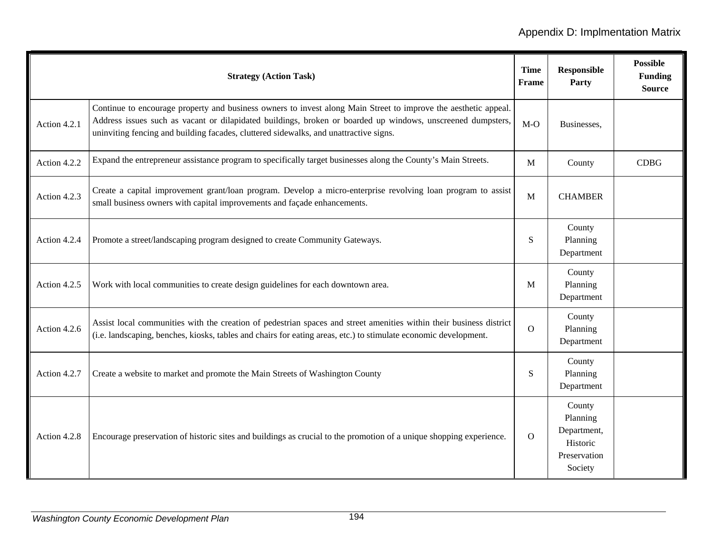|              | <b>Strategy (Action Task)</b>                                                                                                                                                                                                                                                                                           | <b>Time</b><br>Frame | <b>Responsible</b><br>Party                                              | <b>Possible</b><br><b>Funding</b><br><b>Source</b> |
|--------------|-------------------------------------------------------------------------------------------------------------------------------------------------------------------------------------------------------------------------------------------------------------------------------------------------------------------------|----------------------|--------------------------------------------------------------------------|----------------------------------------------------|
| Action 4.2.1 | Continue to encourage property and business owners to invest along Main Street to improve the aesthetic appeal.<br>Address issues such as vacant or dilapidated buildings, broken or boarded up windows, unscreened dumpsters,<br>uninviting fencing and building facades, cluttered sidewalks, and unattractive signs. | $M-O$                | Businesses,                                                              |                                                    |
| Action 4.2.2 | Expand the entrepreneur assistance program to specifically target businesses along the County's Main Streets.                                                                                                                                                                                                           | $\mathbf{M}$         | County                                                                   | <b>CDBG</b>                                        |
| Action 4.2.3 | Create a capital improvement grant/loan program. Develop a micro-enterprise revolving loan program to assist<br>small business owners with capital improvements and façade enhancements.                                                                                                                                | M                    | <b>CHAMBER</b>                                                           |                                                    |
| Action 4.2.4 | Promote a street/landscaping program designed to create Community Gateways.                                                                                                                                                                                                                                             | S                    | County<br>Planning<br>Department                                         |                                                    |
| Action 4.2.5 | Work with local communities to create design guidelines for each downtown area.                                                                                                                                                                                                                                         | M                    | County<br>Planning<br>Department                                         |                                                    |
| Action 4.2.6 | Assist local communities with the creation of pedestrian spaces and street amenities within their business district<br>(i.e. landscaping, benches, kiosks, tables and chairs for eating areas, etc.) to stimulate economic development.                                                                                 | $\Omega$             | County<br>Planning<br>Department                                         |                                                    |
| Action 4.2.7 | Create a website to market and promote the Main Streets of Washington County                                                                                                                                                                                                                                            | S                    | County<br>Planning<br>Department                                         |                                                    |
| Action 4.2.8 | Encourage preservation of historic sites and buildings as crucial to the promotion of a unique shopping experience.                                                                                                                                                                                                     | $\Omega$             | County<br>Planning<br>Department,<br>Historic<br>Preservation<br>Society |                                                    |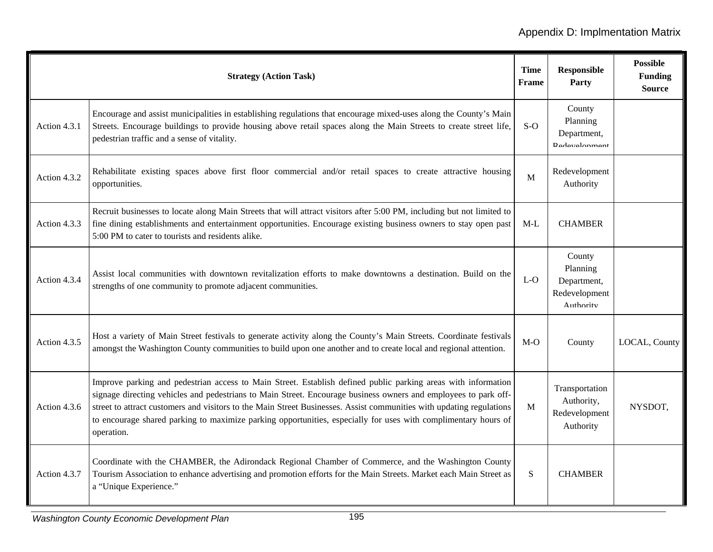|              | <b>Strategy (Action Task)</b>                                                                                                                                                                                                                                                                                                                                                                                                                                                            | <b>Time</b><br>Frame | <b>Responsible</b><br>Party                                     | <b>Possible</b><br><b>Funding</b><br><b>Source</b> |
|--------------|------------------------------------------------------------------------------------------------------------------------------------------------------------------------------------------------------------------------------------------------------------------------------------------------------------------------------------------------------------------------------------------------------------------------------------------------------------------------------------------|----------------------|-----------------------------------------------------------------|----------------------------------------------------|
| Action 4.3.1 | Encourage and assist municipalities in establishing regulations that encourage mixed-uses along the County's Main<br>Streets. Encourage buildings to provide housing above retail spaces along the Main Streets to create street life,<br>pedestrian traffic and a sense of vitality.                                                                                                                                                                                                    | $S-O$                | County<br>Planning<br>Department,<br><b>Dadavalonmant</b>       |                                                    |
| Action 4.3.2 | Rehabilitate existing spaces above first floor commercial and/or retail spaces to create attractive housing<br>opportunities.                                                                                                                                                                                                                                                                                                                                                            | M                    | Redevelopment<br>Authority                                      |                                                    |
| Action 4.3.3 | Recruit businesses to locate along Main Streets that will attract visitors after 5:00 PM, including but not limited to<br>fine dining establishments and entertainment opportunities. Encourage existing business owners to stay open past<br>5:00 PM to cater to tourists and residents alike.                                                                                                                                                                                          | $M-L$                | <b>CHAMBER</b>                                                  |                                                    |
| Action 4.3.4 | Assist local communities with downtown revitalization efforts to make downtowns a destination. Build on the<br>strengths of one community to promote adjacent communities.                                                                                                                                                                                                                                                                                                               | $L-O$                | County<br>Planning<br>Department,<br>Redevelopment<br>Authority |                                                    |
| Action 4.3.5 | Host a variety of Main Street festivals to generate activity along the County's Main Streets. Coordinate festivals<br>amongst the Washington County communities to build upon one another and to create local and regional attention.                                                                                                                                                                                                                                                    | $M-O$                | County                                                          | LOCAL, County                                      |
| Action 4.3.6 | Improve parking and pedestrian access to Main Street. Establish defined public parking areas with information<br>signage directing vehicles and pedestrians to Main Street. Encourage business owners and employees to park off-<br>street to attract customers and visitors to the Main Street Businesses. Assist communities with updating regulations<br>to encourage shared parking to maximize parking opportunities, especially for uses with complimentary hours of<br>operation. | M                    | Transportation<br>Authority,<br>Redevelopment<br>Authority      | NYSDOT,                                            |
| Action 4.3.7 | Coordinate with the CHAMBER, the Adirondack Regional Chamber of Commerce, and the Washington County<br>Tourism Association to enhance advertising and promotion efforts for the Main Streets. Market each Main Street as<br>a "Unique Experience."                                                                                                                                                                                                                                       | ${\bf S}$            | <b>CHAMBER</b>                                                  |                                                    |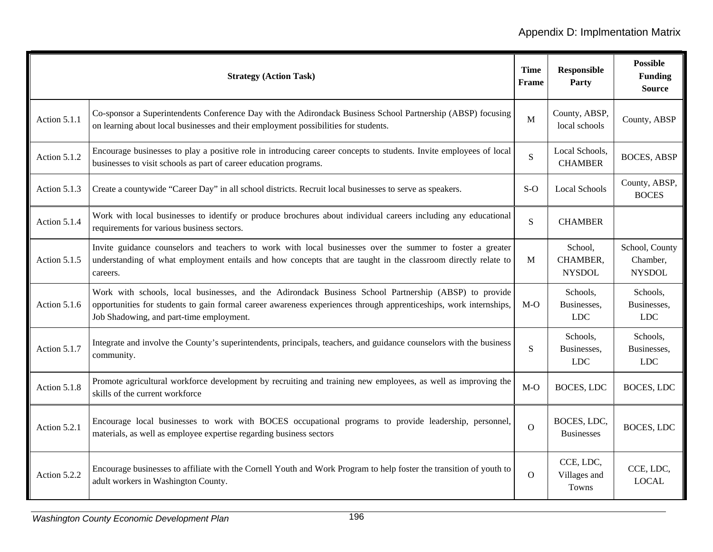|              | <b>Strategy (Action Task)</b>                                                                                                                                                                                                                                          | <b>Time</b><br><b>Frame</b> | <b>Responsible</b><br>Party           | <b>Possible</b><br><b>Funding</b><br><b>Source</b> |
|--------------|------------------------------------------------------------------------------------------------------------------------------------------------------------------------------------------------------------------------------------------------------------------------|-----------------------------|---------------------------------------|----------------------------------------------------|
| Action 5.1.1 | Co-sponsor a Superintendents Conference Day with the Adirondack Business School Partnership (ABSP) focusing<br>on learning about local businesses and their employment possibilities for students.                                                                     | $\mathbf M$                 | County, ABSP,<br>local schools        | County, ABSP                                       |
| Action 5.1.2 | Encourage businesses to play a positive role in introducing career concepts to students. Invite employees of local<br>businesses to visit schools as part of career education programs.                                                                                | $\mathbf S$                 | Local Schools,<br><b>CHAMBER</b>      | <b>BOCES, ABSP</b>                                 |
| Action 5.1.3 | Create a countywide "Career Day" in all school districts. Recruit local businesses to serve as speakers.                                                                                                                                                               | $S-O$                       | <b>Local Schools</b>                  | County, ABSP,<br><b>BOCES</b>                      |
| Action 5.1.4 | Work with local businesses to identify or produce brochures about individual careers including any educational<br>requirements for various business sectors.                                                                                                           | S                           | <b>CHAMBER</b>                        |                                                    |
| Action 5.1.5 | Invite guidance counselors and teachers to work with local businesses over the summer to foster a greater<br>understanding of what employment entails and how concepts that are taught in the classroom directly relate to<br>careers.                                 | M                           | School,<br>CHAMBER,<br><b>NYSDOL</b>  | School, County<br>Chamber,<br><b>NYSDOL</b>        |
| Action 5.1.6 | Work with schools, local businesses, and the Adirondack Business School Partnership (ABSP) to provide<br>opportunities for students to gain formal career awareness experiences through apprenticeships, work internships,<br>Job Shadowing, and part-time employment. | $M-O$                       | Schools,<br>Businesses,<br><b>LDC</b> | Schools,<br>Businesses,<br><b>LDC</b>              |
| Action 5.1.7 | Integrate and involve the County's superintendents, principals, teachers, and guidance counselors with the business<br>community.                                                                                                                                      | S                           | Schools,<br>Businesses,<br><b>LDC</b> | Schools,<br>Businesses,<br><b>LDC</b>              |
| Action 5.1.8 | Promote agricultural workforce development by recruiting and training new employees, as well as improving the<br>skills of the current workforce                                                                                                                       | $M-O$                       | <b>BOCES, LDC</b>                     | BOCES, LDC                                         |
| Action 5.2.1 | Encourage local businesses to work with BOCES occupational programs to provide leadership, personnel,<br>materials, as well as employee expertise regarding business sectors                                                                                           | $\overline{O}$              | BOCES, LDC,<br><b>Businesses</b>      | <b>BOCES, LDC</b>                                  |
| Action 5.2.2 | Encourage businesses to affiliate with the Cornell Youth and Work Program to help foster the transition of youth to<br>adult workers in Washington County.                                                                                                             | $\Omega$                    | CCE, LDC,<br>Villages and<br>Towns    | CCE, LDC,<br><b>LOCAL</b>                          |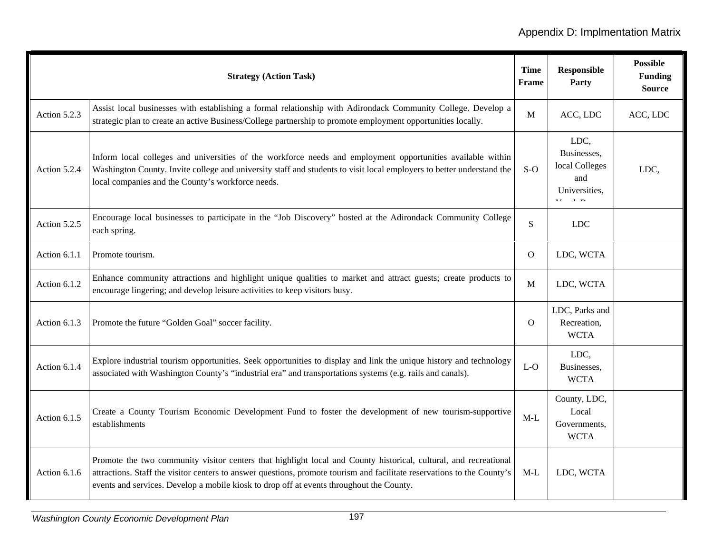|              | <b>Strategy (Action Task)</b>                                                                                                                                                                                                                                                                                                           | <b>Time</b><br>Frame | <b>Responsible</b><br>Party                                                                                   | <b>Possible</b><br><b>Funding</b><br><b>Source</b> |
|--------------|-----------------------------------------------------------------------------------------------------------------------------------------------------------------------------------------------------------------------------------------------------------------------------------------------------------------------------------------|----------------------|---------------------------------------------------------------------------------------------------------------|----------------------------------------------------|
| Action 5.2.3 | Assist local businesses with establishing a formal relationship with Adirondack Community College. Develop a<br>strategic plan to create an active Business/College partnership to promote employment opportunities locally.                                                                                                            | M                    | ACC, LDC                                                                                                      | ACC, LDC                                           |
| Action 5.2.4 | Inform local colleges and universities of the workforce needs and employment opportunities available within<br>Washington County. Invite college and university staff and students to visit local employers to better understand the<br>local companies and the County's workforce needs.                                               | $S-O$                | LDC,<br>Businesses,<br>local Colleges<br>and<br>Universities,<br>$\overline{r}$ $\overline{r}$ $\overline{r}$ | LDC,                                               |
| Action 5.2.5 | Encourage local businesses to participate in the "Job Discovery" hosted at the Adirondack Community College<br>each spring.                                                                                                                                                                                                             | S                    | <b>LDC</b>                                                                                                    |                                                    |
| Action 6.1.1 | Promote tourism.                                                                                                                                                                                                                                                                                                                        | $\mathbf{O}$         | LDC, WCTA                                                                                                     |                                                    |
| Action 6.1.2 | Enhance community attractions and highlight unique qualities to market and attract guests; create products to<br>encourage lingering; and develop leisure activities to keep visitors busy.                                                                                                                                             | M                    | LDC, WCTA                                                                                                     |                                                    |
| Action 6.1.3 | Promote the future "Golden Goal" soccer facility.                                                                                                                                                                                                                                                                                       | $\Omega$             | LDC, Parks and<br>Recreation,<br><b>WCTA</b>                                                                  |                                                    |
| Action 6.1.4 | Explore industrial tourism opportunities. Seek opportunities to display and link the unique history and technology<br>associated with Washington County's "industrial era" and transportations systems (e.g. rails and canals).                                                                                                         | $L-O$                | LDC,<br>Businesses,<br><b>WCTA</b>                                                                            |                                                    |
| Action 6.1.5 | Create a County Tourism Economic Development Fund to foster the development of new tourism-supportive<br>establishments                                                                                                                                                                                                                 | $M-L$                | County, LDC,<br>Local<br>Governments,<br><b>WCTA</b>                                                          |                                                    |
| Action 6.1.6 | Promote the two community visitor centers that highlight local and County historical, cultural, and recreational<br>attractions. Staff the visitor centers to answer questions, promote tourism and facilitate reservations to the County's<br>events and services. Develop a mobile kiosk to drop off at events throughout the County. | $M-L$                | LDC, WCTA                                                                                                     |                                                    |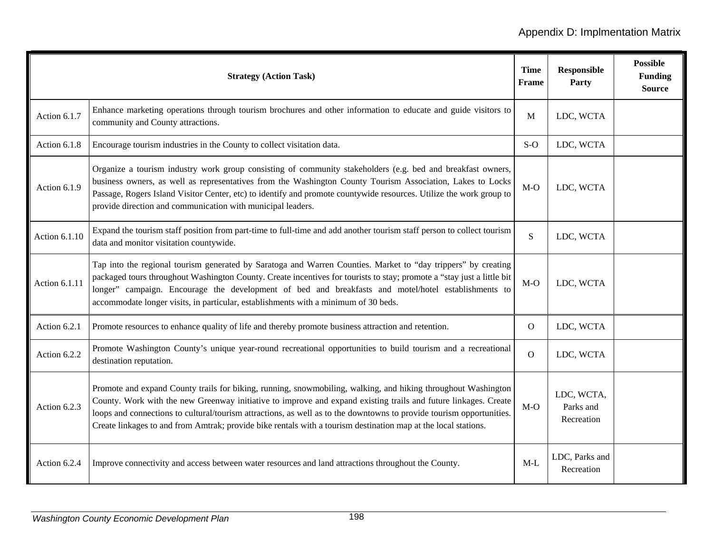|               | <b>Strategy (Action Task)</b>                                                                                                                                                                                                                                                                                                                                                                                                                                              | <b>Time</b><br>Frame | <b>Responsible</b><br>Party           | <b>Possible</b><br><b>Funding</b><br><b>Source</b> |
|---------------|----------------------------------------------------------------------------------------------------------------------------------------------------------------------------------------------------------------------------------------------------------------------------------------------------------------------------------------------------------------------------------------------------------------------------------------------------------------------------|----------------------|---------------------------------------|----------------------------------------------------|
| Action 6.1.7  | Enhance marketing operations through tourism brochures and other information to educate and guide visitors to<br>community and County attractions.                                                                                                                                                                                                                                                                                                                         | M                    | LDC, WCTA                             |                                                    |
| Action 6.1.8  | Encourage tourism industries in the County to collect visitation data.                                                                                                                                                                                                                                                                                                                                                                                                     | $S-O$                | LDC, WCTA                             |                                                    |
| Action 6.1.9  | Organize a tourism industry work group consisting of community stakeholders (e.g. bed and breakfast owners,<br>business owners, as well as representatives from the Washington County Tourism Association, Lakes to Locks<br>Passage, Rogers Island Visitor Center, etc) to identify and promote countywide resources. Utilize the work group to<br>provide direction and communication with municipal leaders.                                                            | $M-O$                | LDC, WCTA                             |                                                    |
| Action 6.1.10 | Expand the tourism staff position from part-time to full-time and add another tourism staff person to collect tourism<br>data and monitor visitation countywide.                                                                                                                                                                                                                                                                                                           | S                    | LDC, WCTA                             |                                                    |
| Action 6.1.11 | Tap into the regional tourism generated by Saratoga and Warren Counties. Market to "day trippers" by creating<br>packaged tours throughout Washington County. Create incentives for tourists to stay; promote a "stay just a little bit<br>longer" campaign. Encourage the development of bed and breakfasts and motel/hotel establishments to<br>accommodate longer visits, in particular, establishments with a minimum of 30 beds.                                      | $M-O$                | LDC, WCTA                             |                                                    |
| Action 6.2.1  | Promote resources to enhance quality of life and thereby promote business attraction and retention.                                                                                                                                                                                                                                                                                                                                                                        | $\Omega$             | LDC, WCTA                             |                                                    |
| Action 6.2.2  | Promote Washington County's unique year-round recreational opportunities to build tourism and a recreational<br>destination reputation.                                                                                                                                                                                                                                                                                                                                    | $\mathbf{O}$         | LDC, WCTA                             |                                                    |
| Action 6.2.3  | Promote and expand County trails for biking, running, snowmobiling, walking, and hiking throughout Washington<br>County. Work with the new Greenway initiative to improve and expand existing trails and future linkages. Create<br>loops and connections to cultural/tourism attractions, as well as to the downtowns to provide tourism opportunities.<br>Create linkages to and from Amtrak; provide bike rentals with a tourism destination map at the local stations. | $M-O$                | LDC, WCTA,<br>Parks and<br>Recreation |                                                    |
| Action 6.2.4  | Improve connectivity and access between water resources and land attractions throughout the County.                                                                                                                                                                                                                                                                                                                                                                        | $M-L$                | LDC, Parks and<br>Recreation          |                                                    |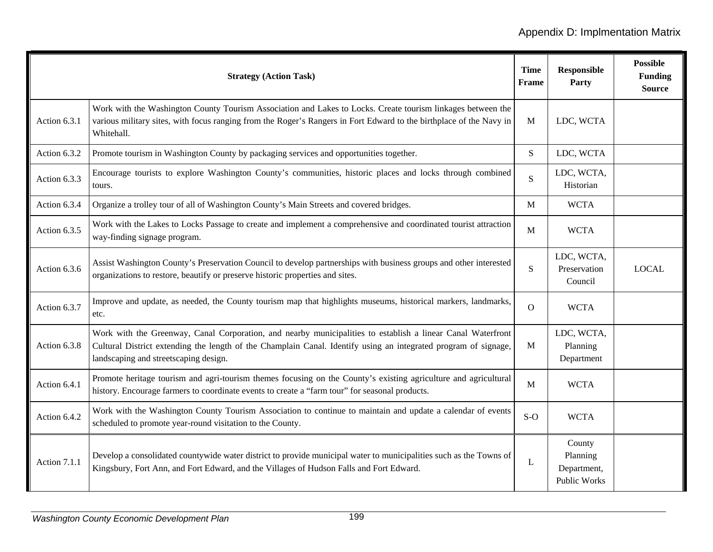|              | <b>Strategy (Action Task)</b>                                                                                                                                                                                                                                           | <b>Time</b><br>Frame | <b>Responsible</b><br>Party                              | <b>Possible</b><br><b>Funding</b><br><b>Source</b> |
|--------------|-------------------------------------------------------------------------------------------------------------------------------------------------------------------------------------------------------------------------------------------------------------------------|----------------------|----------------------------------------------------------|----------------------------------------------------|
| Action 6.3.1 | Work with the Washington County Tourism Association and Lakes to Locks. Create tourism linkages between the<br>various military sites, with focus ranging from the Roger's Rangers in Fort Edward to the birthplace of the Navy in<br>Whitehall.                        | $\mathbf{M}$         | LDC, WCTA                                                |                                                    |
| Action 6.3.2 | Promote tourism in Washington County by packaging services and opportunities together.                                                                                                                                                                                  | S                    | LDC, WCTA                                                |                                                    |
| Action 6.3.3 | Encourage tourists to explore Washington County's communities, historic places and locks through combined<br>tours.                                                                                                                                                     | S                    | LDC, WCTA,<br>Historian                                  |                                                    |
| Action 6.3.4 | Organize a trolley tour of all of Washington County's Main Streets and covered bridges.                                                                                                                                                                                 | M                    | <b>WCTA</b>                                              |                                                    |
| Action 6.3.5 | Work with the Lakes to Locks Passage to create and implement a comprehensive and coordinated tourist attraction<br>way-finding signage program.                                                                                                                         | M                    | <b>WCTA</b>                                              |                                                    |
| Action 6.3.6 | Assist Washington County's Preservation Council to develop partnerships with business groups and other interested<br>organizations to restore, beautify or preserve historic properties and sites.                                                                      | S                    | LDC, WCTA,<br>Preservation<br>Council                    | <b>LOCAL</b>                                       |
| Action 6.3.7 | Improve and update, as needed, the County tourism map that highlights museums, historical markers, landmarks,<br>etc.                                                                                                                                                   | $\Omega$             | <b>WCTA</b>                                              |                                                    |
| Action 6.3.8 | Work with the Greenway, Canal Corporation, and nearby municipalities to establish a linear Canal Waterfront<br>Cultural District extending the length of the Champlain Canal. Identify using an integrated program of signage,<br>landscaping and streetscaping design. | M                    | LDC, WCTA,<br>Planning<br>Department                     |                                                    |
| Action 6.4.1 | Promote heritage tourism and agri-tourism themes focusing on the County's existing agriculture and agricultural<br>history. Encourage farmers to coordinate events to create a "farm tour" for seasonal products.                                                       | M                    | <b>WCTA</b>                                              |                                                    |
| Action 6.4.2 | Work with the Washington County Tourism Association to continue to maintain and update a calendar of events<br>scheduled to promote year-round visitation to the County.                                                                                                | $S-O$                | <b>WCTA</b>                                              |                                                    |
| Action 7.1.1 | Develop a consolidated countywide water district to provide municipal water to municipalities such as the Towns of<br>Kingsbury, Fort Ann, and Fort Edward, and the Villages of Hudson Falls and Fort Edward.                                                           | L                    | County<br>Planning<br>Department,<br><b>Public Works</b> |                                                    |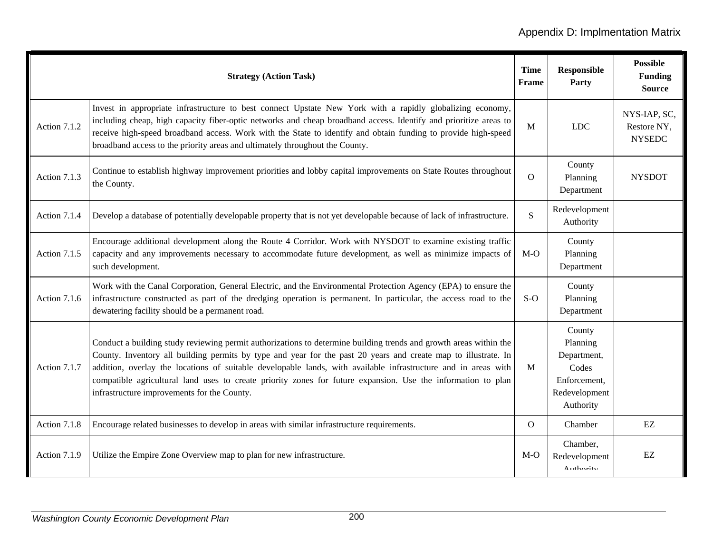|              | <b>Strategy (Action Task)</b>                                                                                                                                                                                                                                                                                                                                                                                                                                                                                        | <b>Time</b><br>Frame | <b>Responsible</b><br>Party                                                              | <b>Possible</b><br><b>Funding</b><br><b>Source</b> |
|--------------|----------------------------------------------------------------------------------------------------------------------------------------------------------------------------------------------------------------------------------------------------------------------------------------------------------------------------------------------------------------------------------------------------------------------------------------------------------------------------------------------------------------------|----------------------|------------------------------------------------------------------------------------------|----------------------------------------------------|
| Action 7.1.2 | Invest in appropriate infrastructure to best connect Upstate New York with a rapidly globalizing economy,<br>including cheap, high capacity fiber-optic networks and cheap broadband access. Identify and prioritize areas to<br>receive high-speed broadband access. Work with the State to identify and obtain funding to provide high-speed<br>broadband access to the priority areas and ultimately throughout the County.                                                                                       | M                    | <b>LDC</b>                                                                               | NYS-IAP, SC,<br>Restore NY,<br><b>NYSEDC</b>       |
| Action 7.1.3 | Continue to establish highway improvement priorities and lobby capital improvements on State Routes throughout<br>the County.                                                                                                                                                                                                                                                                                                                                                                                        | $\mathbf{O}$         | County<br>Planning<br>Department                                                         | <b>NYSDOT</b>                                      |
| Action 7.1.4 | Develop a database of potentially developable property that is not yet developable because of lack of infrastructure.                                                                                                                                                                                                                                                                                                                                                                                                | S.                   | Redevelopment<br>Authority                                                               |                                                    |
| Action 7.1.5 | Encourage additional development along the Route 4 Corridor. Work with NYSDOT to examine existing traffic<br>capacity and any improvements necessary to accommodate future development, as well as minimize impacts of<br>such development.                                                                                                                                                                                                                                                                          | $M-O$                | County<br>Planning<br>Department                                                         |                                                    |
| Action 7.1.6 | Work with the Canal Corporation, General Electric, and the Environmental Protection Agency (EPA) to ensure the<br>infrastructure constructed as part of the dredging operation is permanent. In particular, the access road to the<br>dewatering facility should be a permanent road.                                                                                                                                                                                                                                | $S-O$                | County<br>Planning<br>Department                                                         |                                                    |
| Action 7.1.7 | Conduct a building study reviewing permit authorizations to determine building trends and growth areas within the<br>County. Inventory all building permits by type and year for the past 20 years and create map to illustrate. In<br>addition, overlay the locations of suitable developable lands, with available infrastructure and in areas with<br>compatible agricultural land uses to create priority zones for future expansion. Use the information to plan<br>infrastructure improvements for the County. | M                    | County<br>Planning<br>Department,<br>Codes<br>Enforcement,<br>Redevelopment<br>Authority |                                                    |
| Action 7.1.8 | Encourage related businesses to develop in areas with similar infrastructure requirements.                                                                                                                                                                                                                                                                                                                                                                                                                           | $\mathbf{O}$         | Chamber                                                                                  | EZ                                                 |
| Action 7.1.9 | Utilize the Empire Zone Overview map to plan for new infrastructure.                                                                                                                                                                                                                                                                                                                                                                                                                                                 | $M-O$                | Chamber,<br>Redevelopment<br>Authority                                                   | EZ                                                 |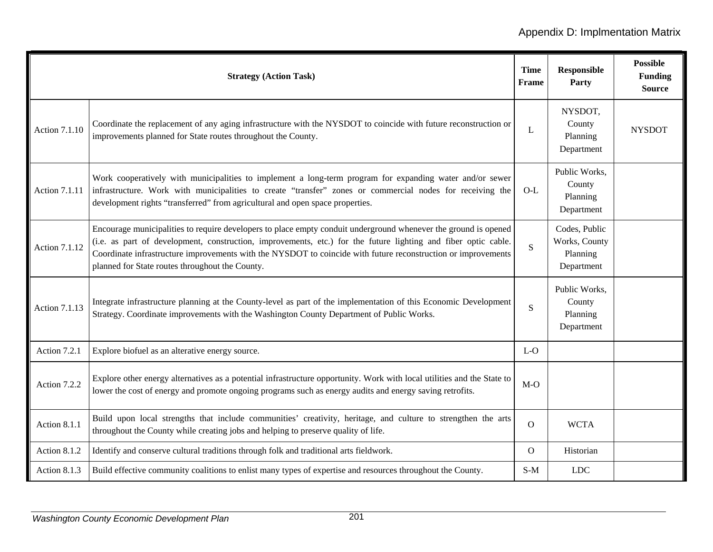|                      | <b>Strategy (Action Task)</b>                                                                                                                                                                                                                                                                                                                                                                         | <b>Time</b><br>Frame | Responsible<br>Party                                     | <b>Possible</b><br><b>Funding</b><br><b>Source</b> |
|----------------------|-------------------------------------------------------------------------------------------------------------------------------------------------------------------------------------------------------------------------------------------------------------------------------------------------------------------------------------------------------------------------------------------------------|----------------------|----------------------------------------------------------|----------------------------------------------------|
| <b>Action 7.1.10</b> | Coordinate the replacement of any aging infrastructure with the NYSDOT to coincide with future reconstruction or<br>improvements planned for State routes throughout the County.                                                                                                                                                                                                                      | L                    | NYSDOT,<br>County<br>Planning<br>Department              | <b>NYSDOT</b>                                      |
| <b>Action 7.1.11</b> | Work cooperatively with municipalities to implement a long-term program for expanding water and/or sewer<br>infrastructure. Work with municipalities to create "transfer" zones or commercial nodes for receiving the<br>development rights "transferred" from agricultural and open space properties.                                                                                                | $O-L$                | Public Works,<br>County<br>Planning<br>Department        |                                                    |
| <b>Action 7.1.12</b> | Encourage municipalities to require developers to place empty conduit underground whenever the ground is opened<br>(i.e. as part of development, construction, improvements, etc.) for the future lighting and fiber optic cable.<br>Coordinate infrastructure improvements with the NYSDOT to coincide with future reconstruction or improvements<br>planned for State routes throughout the County. | $\overline{S}$       | Codes, Public<br>Works, County<br>Planning<br>Department |                                                    |
| <b>Action 7.1.13</b> | Integrate infrastructure planning at the County-level as part of the implementation of this Economic Development<br>Strategy. Coordinate improvements with the Washington County Department of Public Works.                                                                                                                                                                                          | S                    | Public Works,<br>County<br>Planning<br>Department        |                                                    |
| Action 7.2.1         | Explore biofuel as an alterative energy source.                                                                                                                                                                                                                                                                                                                                                       | $L-O$                |                                                          |                                                    |
| Action 7.2.2         | Explore other energy alternatives as a potential infrastructure opportunity. Work with local utilities and the State to<br>lower the cost of energy and promote ongoing programs such as energy audits and energy saving retrofits.                                                                                                                                                                   | $M-O$                |                                                          |                                                    |
| Action 8.1.1         | Build upon local strengths that include communities' creativity, heritage, and culture to strengthen the arts<br>throughout the County while creating jobs and helping to preserve quality of life.                                                                                                                                                                                                   | $\mathbf{O}$         | <b>WCTA</b>                                              |                                                    |
| Action 8.1.2         | Identify and conserve cultural traditions through folk and traditional arts fieldwork.                                                                                                                                                                                                                                                                                                                | $\overline{O}$       | Historian                                                |                                                    |
| Action 8.1.3         | Build effective community coalitions to enlist many types of expertise and resources throughout the County.                                                                                                                                                                                                                                                                                           | $S-M$                | <b>LDC</b>                                               |                                                    |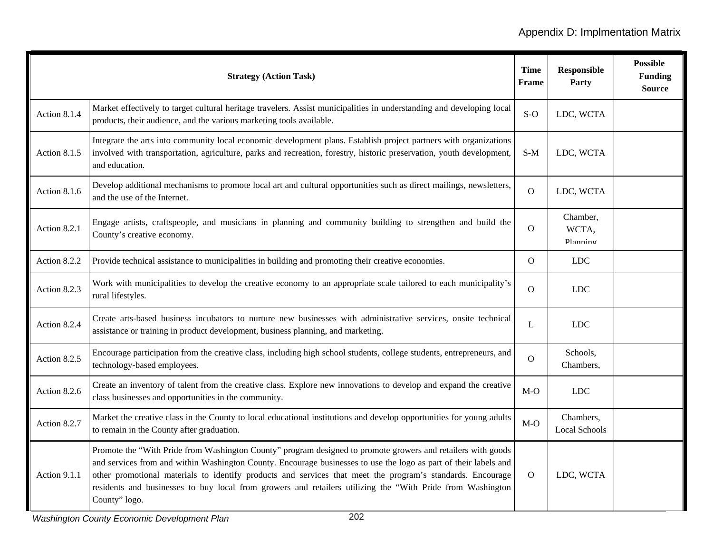|              | <b>Strategy (Action Task)</b>                                                                                                                                                                                                                                                                                                                                                                                                                                                 | <b>Time</b><br><b>Frame</b> | <b>Responsible</b><br>Party       | <b>Possible</b><br><b>Funding</b><br><b>Source</b> |
|--------------|-------------------------------------------------------------------------------------------------------------------------------------------------------------------------------------------------------------------------------------------------------------------------------------------------------------------------------------------------------------------------------------------------------------------------------------------------------------------------------|-----------------------------|-----------------------------------|----------------------------------------------------|
| Action 8.1.4 | Market effectively to target cultural heritage travelers. Assist municipalities in understanding and developing local<br>products, their audience, and the various marketing tools available.                                                                                                                                                                                                                                                                                 | $S-O$                       | LDC, WCTA                         |                                                    |
| Action 8.1.5 | Integrate the arts into community local economic development plans. Establish project partners with organizations<br>involved with transportation, agriculture, parks and recreation, forestry, historic preservation, youth development,<br>and education.                                                                                                                                                                                                                   | $S-M$                       | LDC, WCTA                         |                                                    |
| Action 8.1.6 | Develop additional mechanisms to promote local art and cultural opportunities such as direct mailings, newsletters,<br>and the use of the Internet.                                                                                                                                                                                                                                                                                                                           | $\Omega$                    | LDC, WCTA                         |                                                    |
| Action 8.2.1 | Engage artists, craftspeople, and musicians in planning and community building to strengthen and build the<br>County's creative economy.                                                                                                                                                                                                                                                                                                                                      | $\Omega$                    | Chamber,<br>WCTA,<br>Planning     |                                                    |
| Action 8.2.2 | Provide technical assistance to municipalities in building and promoting their creative economies.                                                                                                                                                                                                                                                                                                                                                                            | $\overline{O}$              | <b>LDC</b>                        |                                                    |
| Action 8.2.3 | Work with municipalities to develop the creative economy to an appropriate scale tailored to each municipality's<br>rural lifestyles.                                                                                                                                                                                                                                                                                                                                         | $\overline{O}$              | <b>LDC</b>                        |                                                    |
| Action 8.2.4 | Create arts-based business incubators to nurture new businesses with administrative services, onsite technical<br>assistance or training in product development, business planning, and marketing.                                                                                                                                                                                                                                                                            | L                           | <b>LDC</b>                        |                                                    |
| Action 8.2.5 | Encourage participation from the creative class, including high school students, college students, entrepreneurs, and<br>technology-based employees.                                                                                                                                                                                                                                                                                                                          | $\mathbf{O}$                | Schools,<br>Chambers,             |                                                    |
| Action 8.2.6 | Create an inventory of talent from the creative class. Explore new innovations to develop and expand the creative<br>class businesses and opportunities in the community.                                                                                                                                                                                                                                                                                                     | $M-O$                       | <b>LDC</b>                        |                                                    |
| Action 8.2.7 | Market the creative class in the County to local educational institutions and develop opportunities for young adults<br>to remain in the County after graduation.                                                                                                                                                                                                                                                                                                             | $M-O$                       | Chambers,<br><b>Local Schools</b> |                                                    |
| Action 9.1.1 | Promote the "With Pride from Washington County" program designed to promote growers and retailers with goods<br>and services from and within Washington County. Encourage businesses to use the logo as part of their labels and<br>other promotional materials to identify products and services that meet the program's standards. Encourage<br>residents and businesses to buy local from growers and retailers utilizing the "With Pride from Washington<br>County" logo. | $\Omega$                    | LDC, WCTA                         |                                                    |